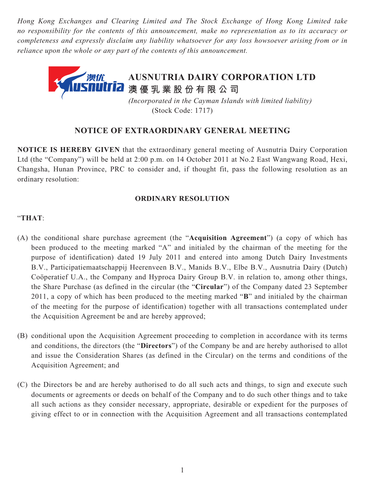*Hong Kong Exchanges and Clearing Limited and The Stock Exchange of Hong Kong Limited take no responsibility for the contents of this announcement, make no representation as to its accuracy or completeness and expressly disclaim any liability whatsoever for any loss howsoever arising from or in reliance upon the whole or any part of the contents of this announcement.*



## **NOTICE OF EXTRAORDINARY GENERAL MEETING**

**NOTICE IS HEREBY GIVEN** that the extraordinary general meeting of Ausnutria Dairy Corporation Ltd (the "Company") will be held at 2:00 p.m. on 14 October 2011 at No.2 East Wangwang Road, Hexi, Changsha, Hunan Province, PRC to consider and, if thought fit, pass the following resolution as an ordinary resolution:

## **ORDINARY RESOLUTION**

## "**THAT**:

- (A) the conditional share purchase agreement (the "**Acquisition Agreement**") (a copy of which has been produced to the meeting marked "A" and initialed by the chairman of the meeting for the purpose of identification) dated 19 July 2011 and entered into among Dutch Dairy Investments B.V., Participatiemaatschappij Heerenveen B.V., Manids B.V., Elbe B.V., Ausnutria Dairy (Dutch) Coöperatief U.A., the Company and Hyproca Dairy Group B.V. in relation to, among other things, the Share Purchase (as defined in the circular (the "**Circular**") of the Company dated 23 September 2011, a copy of which has been produced to the meeting marked "**B**" and initialed by the chairman of the meeting for the purpose of identification) together with all transactions contemplated under the Acquisition Agreement be and are hereby approved;
- (B) conditional upon the Acquisition Agreement proceeding to completion in accordance with its terms and conditions, the directors (the "**Directors**") of the Company be and are hereby authorised to allot and issue the Consideration Shares (as defined in the Circular) on the terms and conditions of the Acquisition Agreement; and
- (C) the Directors be and are hereby authorised to do all such acts and things, to sign and execute such documents or agreements or deeds on behalf of the Company and to do such other things and to take all such actions as they consider necessary, appropriate, desirable or expedient for the purposes of giving effect to or in connection with the Acquisition Agreement and all transactions contemplated